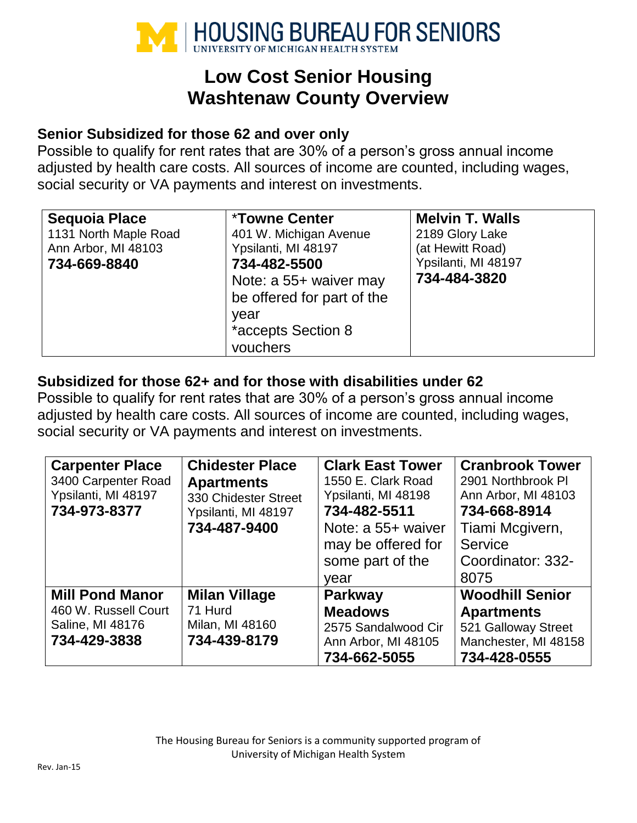

# **Low Cost Senior Housing Washtenaw County Overview**

### **Senior Subsidized for those 62 and over only**

Possible to qualify for rent rates that are 30% of a person's gross annual income adjusted by health care costs. All sources of income are counted, including wages, social security or VA payments and interest on investments.

| <b>Sequoia Place</b>  | <b>*Towne Center</b>       | <b>Melvin T. Walls</b> |
|-----------------------|----------------------------|------------------------|
| 1131 North Maple Road | 401 W. Michigan Avenue     | 2189 Glory Lake        |
| Ann Arbor, MI 48103   | Ypsilanti, MI 48197        | (at Hewitt Road)       |
| 734-669-8840          | 734-482-5500               | Ypsilanti, MI 48197    |
|                       | Note: a 55+ waiver may     | 734-484-3820           |
|                       | be offered for part of the |                        |
|                       | year                       |                        |
|                       | *accepts Section 8         |                        |
|                       | vouchers                   |                        |

## **Subsidized for those 62+ and for those with disabilities under 62**

Possible to qualify for rent rates that are 30% of a person's gross annual income adjusted by health care costs. All sources of income are counted, including wages, social security or VA payments and interest on investments.

| <b>Carpenter Place</b><br>3400 Carpenter Road<br>Ypsilanti, MI 48197<br>734-973-8377 | <b>Chidester Place</b><br><b>Apartments</b><br>330 Chidester Street<br>Ypsilanti, MI 48197<br>734-487-9400 | <b>Clark East Tower</b><br>1550 E. Clark Road<br>Ypsilanti, MI 48198<br>734-482-5511<br>Note: a 55+ waiver<br>may be offered for<br>some part of the<br>vear | <b>Cranbrook Tower</b><br>2901 Northbrook PI<br>Ann Arbor, MI 48103<br>734-668-8914<br>Tiami Mcgivern,<br>Service<br>Coordinator: 332-<br>8075 |
|--------------------------------------------------------------------------------------|------------------------------------------------------------------------------------------------------------|--------------------------------------------------------------------------------------------------------------------------------------------------------------|------------------------------------------------------------------------------------------------------------------------------------------------|
| <b>Mill Pond Manor</b><br>460 W. Russell Court<br>Saline, MI 48176<br>734-429-3838   | <b>Milan Village</b><br>71 Hurd<br>Milan, MI 48160<br>734-439-8179                                         | <b>Parkway</b><br><b>Meadows</b><br>2575 Sandalwood Cir<br>Ann Arbor, MI 48105<br>734-662-5055                                                               | <b>Woodhill Senior</b><br><b>Apartments</b><br>521 Galloway Street<br>Manchester, MI 48158<br>734-428-0555                                     |